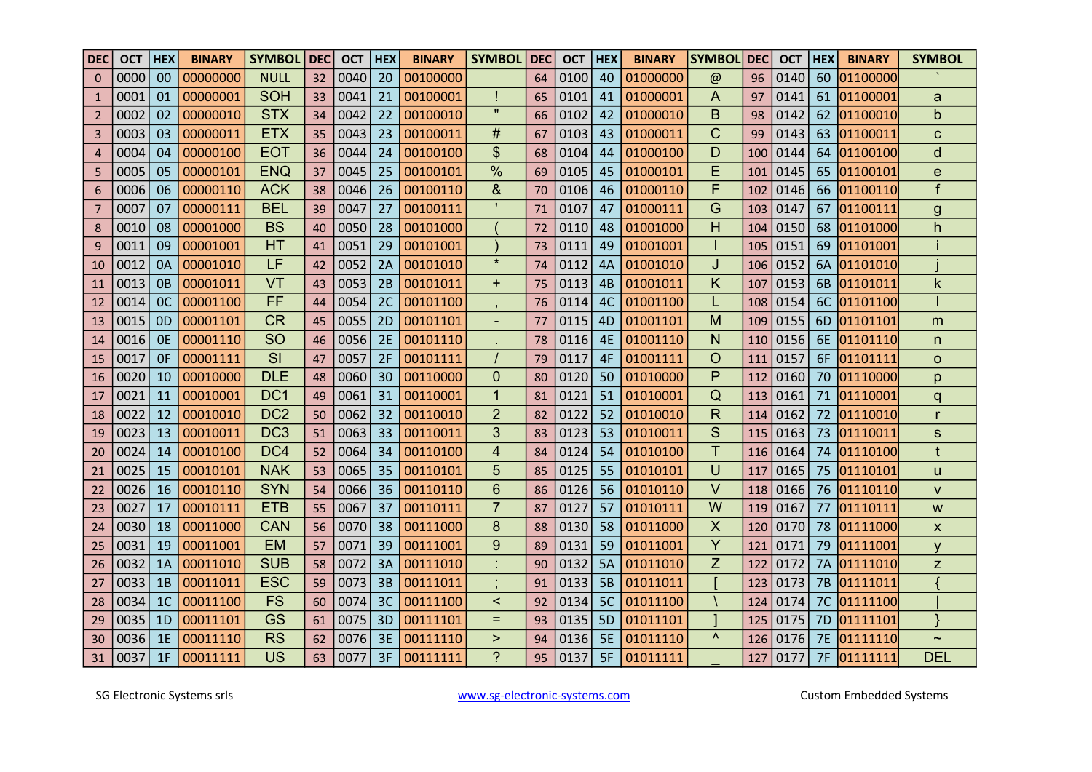| <b>DEC</b>     | <b>OCT</b> | <b>HEX</b> | <b>BINARY</b> | <b>SYMBOL</b>   | l DEC           | <b>OCT</b> | <b>HEX</b> | <b>BINARY</b> | <b>SYMBOL</b>             | <b>DEC</b> | <b>OCT</b> | <b>HEX</b> | <b>BINARY</b> | <b>SYMBOL</b>  | <b>DEC</b> | <b>OCT</b>           | <b>HEX</b>      | <b>BINARY</b>        | <b>SYMBOL</b>    |
|----------------|------------|------------|---------------|-----------------|-----------------|------------|------------|---------------|---------------------------|------------|------------|------------|---------------|----------------|------------|----------------------|-----------------|----------------------|------------------|
| $\overline{0}$ | 0000       | 00         | 00000000      | <b>NULL</b>     | 32 <sup>2</sup> | 0040       | 20         | 00100000      |                           | 64         | 0100       | 40         | 01000000      | $\omega$       | 96         | 0140                 | 60              | 01100000             |                  |
|                | 0001       | 01         | 00000001      | <b>SOH</b>      | 33              | 0041       | 21         | 00100001      |                           | 65         | 0101       | 41         | 01000001      | A              | 97         | 0141                 | 61              | 01100001             | a                |
| 2              | 0002       | 02         | 00000010      | <b>STX</b>      | 34              | 0042       | 22         | 00100010      | $\mathbf{u}$              | 66         | 0102       | 42         | 01000010      | B.             | 98         | 0142                 | 62 <sub>1</sub> | 01100010             | $\mathsf{b}$     |
| 3              | 0003       | 03         | 00000011      | <b>ETX</b>      | 35              | 0043       | 23         | 00100011      | #                         | 67         | 0103       | 43         | 01000011      | C.             | 99         | 0143                 |                 | 63 01100011          | $\mathbf C$      |
| $\overline{4}$ | 0004       | 04         | 00000100      | <b>EOT</b>      | 36              | 0044       | 24         | 00100100      | $\boldsymbol{\mathsf{S}}$ | 68         | 0104       | 44         | 01000100      | D              | 100        | 0144                 | 64              | 01100100             | $\mathsf{d}$     |
| 5              | 0005       | 05         | 00000101      | <b>ENQ</b>      | 37              | 0045       | 25         | 00100101      | $\frac{0}{0}$             | 69         | 0105       | 45         | 01000101      | Е              | 101        | 0145                 | 65              | 01100101             | $\mathbf e$      |
| 6              | 0006       | 06         | 00000110      | <b>ACK</b>      | 38              | 0046       | 26         | 00100110      | 8 <sub>l</sub>            | 70         | 0106       | 46         | 01000110      | F              | 102        | 0146                 |                 | 66 01100110          |                  |
|                | 0007       | 07         | 00000111      | <b>BEL</b>      | 39              | 0047       | 27         | 00100111      |                           | 71         | 0107       | 47         | 01000111      | G              | 103        | 0147                 |                 | 67 01100111          | $\overline{g}$   |
| 8              | 0010       | 08         | 00001000      | <b>BS</b>       | 40              | 0050       | 28         | 00101000      |                           | 72         | 0110       | 48         | 01001000      | H              | 104        | $\vert$ 0150         | 68              | 01101000             | h                |
| 9              | 0011       | 09         | 00001001      | <b>HT</b>       | 41              | 0051       | 29         | 00101001      |                           | 73         | 0111       | 49         | 01001001      |                | 105        | 0151                 | 69              | 01101001             |                  |
| 10             | 0012       | 0A         | 00001010      | LF              | 42              | 0052       | 2A         | 00101010      | $\star$                   | 74         | 0112       | 4A         | 01001010      | J              |            | 106 0152             |                 | 6A 01101010          |                  |
| 11             | 0013       | <b>OB</b>  | 00001011      | VT              | 43              | 0053       | 2B         | 00101011      | $+$                       | 75         | 0113       | 4B         | 01001011      | K.             | 107        | 0153                 |                 | 6B 01101011          | k                |
| 12             | 0014       | OC         | 00001100      | <b>FF</b>       | 44              | 0054       | 2C         | 00101100      | $\overline{1}$            | 76         | 0114       | 4C         | 01001100      |                | 108        | 0154                 |                 | 6C 01101100          |                  |
| 13             | 0015       | OD         | 00001101      | <b>CR</b>       | 45              | 0055       | 2D         | 00101101      | $\overline{\phantom{a}}$  | 77         | 0115       | 4D         | 01001101      | M              | 109        | 0155                 |                 | 6D 01101101          | m                |
| 14             | 0016       | <b>OE</b>  | 00001110      | <b>SO</b>       | 46              | 0056       | 2E         | 00101110      |                           | 78         | 0116       | 4E         | 01001110      | N              | 110        | 0156                 |                 | 6E 01101110          | n                |
| 15             | 0017       | 0F         | 00001111      | SI              | 47              | 0057       | 2F         | 00101111      |                           | 79         | 0117       | 4F         | 01001111      | $\overline{O}$ | 111        | 0157                 |                 | 6F 01101111          | $\overline{O}$   |
| 16             | 0020       | 10         | 00010000      | <b>DLE</b>      | 48              | 0060       | 30         | 00110000      | $\overline{0}$            | 80         | 0120       | 50         | 01010000      | P              | 112        | $\vert$ 0160 $\vert$ |                 | 70 01110000          | p                |
| 17             | 0021       | 11         | 00010001      | DC <sub>1</sub> | 49              | 0061       | 31         | 00110001      | $\overline{1}$            | 81         | 0121       | 51         | 01010001      | Q              | 113        | 0161                 |                 | 71 01110001          | q                |
| 18             | 0022       | 12         | 00010010      | DC <sub>2</sub> | 50              | 0062       | 32         | 00110010      | $\overline{2}$            | 82         | 0122       | 52         | 01010010      | R              | 114        | 0162                 |                 | 72 01110010          |                  |
| 19             | 0023       | 13         | 00010011      | DC <sub>3</sub> | 51              | 0063       | 33         | 00110011      | $\mathfrak{S}$            | 83         | 0123       | 53         | 01010011      | S              | 115        | 0163                 | 73              | 01110011             | S                |
| 20             | 0024       | 14         | 00010100      | DC4             | 52              | 0064       | 34         | 00110100      | $\overline{4}$            | 84         | 0124       | 54         | 01010100      |                |            | 116 0164             |                 | 74 01110100          |                  |
| 21             | 0025       | 15         | 00010101      | <b>NAK</b>      | 53              | 0065       | 35         | 00110101      | 5 <sup>5</sup>            | 85         | 0125       |            | 55 01010101   | U              |            |                      |                 | 117 0165 75 01110101 | <b>u</b>         |
| 22             | 0026       |            | 16 00010110   | <b>SYN</b>      |                 | 54   0066  |            | 36 00110110   | $6\overline{6}$           | 86         | 0126       |            | 56 01010110   | $\mathsf{V}$   |            | 118 0166             |                 | 76 01110110          | $\mathsf{V}$     |
| 23             | 0027       | 17         | 00010111      | ETB             | 55              | 0067       | 37         | 00110111      | $\overline{7}$            | 87         | 0127       |            | 57 01010111   | W              |            | 119 0167             |                 | 77 01110111          | W                |
| 24             | 0030       | 18         | 00011000      | <b>CAN</b>      | 56              | 0070       | 38         | 00111000      | 8                         | 88         | 0130       |            | 58 01011000   | X              |            | 120 0170             |                 | 78 01111000          | $\boldsymbol{X}$ |
| 25             | 0031       | 19         | 00011001      | EM              | 57              | 0071       | 39         | 00111001      | 9                         | 89         | 0131       |            | 59 01011001   | Y              |            | 121 0171             |                 | 79 01111001          | y                |
| 26             | 0032       | 1A         | 00011010      | <b>SUB</b>      |                 | 58 0072    | 3A         | 00111010      | t,                        | 90         | 0132       | 5A         | 01011010      | Z              |            | 122 0172             |                 | 7A 01111010          | Z                |
| 27             | 0033       | 1B         | 00011011      | <b>ESC</b>      | 59              | 0073       | 3B         | 00111011      | $\frac{1}{2}$             | 91         | 0133       |            | 5B 01011011   |                |            | 123 0173             |                 | 7B 01111011          |                  |
| 28             | 0034       |            | 1C 00011100   | FS              | 60              | 0074       |            | 3C 00111100   | $\prec$                   | 92         | 0134       |            | 5C 01011100   |                |            |                      |                 | 124 0174 7C 01111100 |                  |
| 29             | 0035       | 1D         | 00011101      | <b>GS</b>       | 61              | 0075       | 3D         | 00111101      | $=$                       | 93         | 0135       |            | 5D 01011101   |                |            |                      |                 | 125 0175 7D 01111101 |                  |
| 30             | 0036       | 1E         | 00011110      | <b>RS</b>       | 62              | 0076       | 3E         | 00111110      | $\geq$                    | 94         | 0136       | 5E         | 01011110      | $\mathbf{v}$   |            | 126 0176             |                 | 7E 01111110          | $\thicksim$      |
| 31             | 0037       |            | 1F 00011111   | US              |                 | 63 0077    |            | 3F 00111111   | $\overline{?}$            |            | 95   0137  |            | 5F 01011111   |                |            | 127 0177             |                 | 7F 01111111          | <b>DEL</b>       |

SG Electronic Systems srls

www.sg-electronic-systems.com

**Custom Embedded Systems**